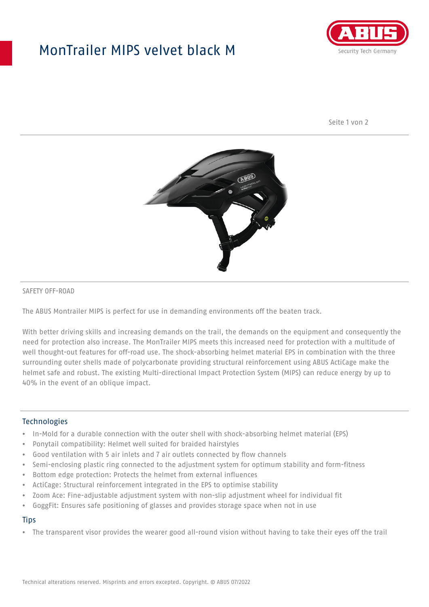# MonTrailer MIPS velvet black M



Seite 1 von 2



### SAFETY OFF-ROAD

The ABUS Montrailer MIPS is perfect for use in demanding environments off the beaten track.

With better driving skills and increasing demands on the trail, the demands on the equipment and consequently the need for protection also increase. The MonTrailer MIPS meets this increased need for protection with a multitude of well thought-out features for off-road use. The shock-absorbing helmet material EPS in combination with the three surrounding outer shells made of polycarbonate providing structural reinforcement using ABUS ActiCage make the helmet safe and robust. The existing Multi-directional Impact Protection System (MIPS) can reduce energy by up to 40% in the event of an oblique impact.

### **Technologies**

- In-Mold for a durable connection with the outer shell with shock-absorbing helmet material (EPS)
- Ponytail compatibility: Helmet well suited for braided hairstyles
- Good ventilation with 5 air inlets and 7 air outlets connected by flow channels
- Semi-enclosing plastic ring connected to the adjustment system for optimum stability and form-fitness
- Bottom edge protection: Protects the helmet from external influences
- ActiCage: Structural reinforcement integrated in the EPS to optimise stability
- Zoom Ace: Fine-adjustable adjustment system with non-slip adjustment wheel for individual fit
- GoggFit: Ensures safe positioning of glasses and provides storage space when not in use

#### **Tips**

• The transparent visor provides the wearer good all-round vision without having to take their eyes off the trail